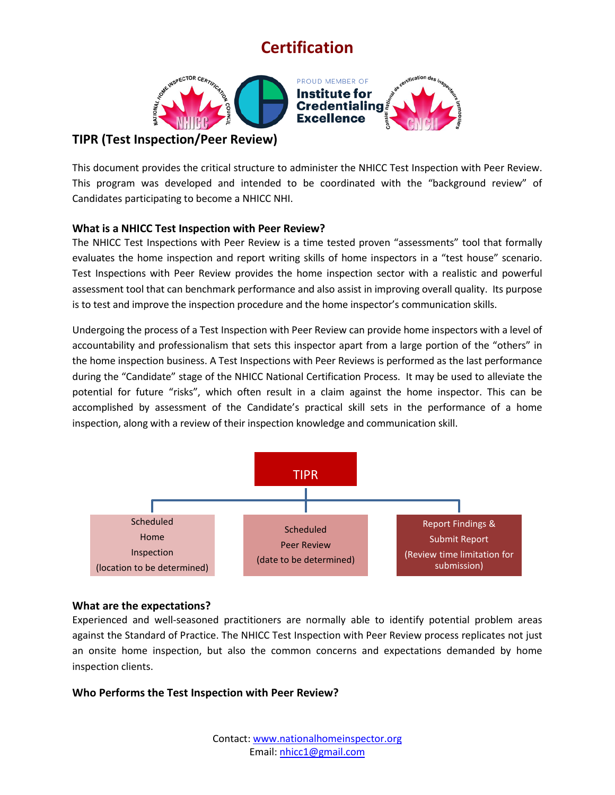

## This document provides the critical structure to administer the NHICC Test Inspection with Peer Review. This program was developed and intended to be coordinated with the "background review" of Candidates participating to become a NHICC NHI.

### **What is a NHICC Test Inspection with Peer Review?**

The NHICC Test Inspections with Peer Review is a time tested proven "assessments" tool that formally evaluates the home inspection and report writing skills of home inspectors in a "test house" scenario. Test Inspections with Peer Review provides the home inspection sector with a realistic and powerful assessment tool that can benchmark performance and also assist in improving overall quality. Its purpose is to test and improve the inspection procedure and the home inspector's communication skills.

Undergoing the process of a Test Inspection with Peer Review can provide home inspectors with a level of accountability and professionalism that sets this inspector apart from a large portion of the "others" in the home inspection business. A Test Inspections with Peer Reviews is performed as the last performance during the "Candidate" stage of the NHICC National Certification Process. It may be used to alleviate the potential for future "risks", which often result in a claim against the home inspector. This can be accomplished by assessment of the Candidate's practical skill sets in the performance of a home inspection, along with a review of their inspection knowledge and communication skill.



### **What are the expectations?**

Experienced and well-seasoned practitioners are normally able to identify potential problem areas against the Standard of Practice. The NHICC Test Inspection with Peer Review process replicates not just an onsite home inspection, but also the common concerns and expectations demanded by home inspection clients.

### **Who Performs the Test Inspection with Peer Review?**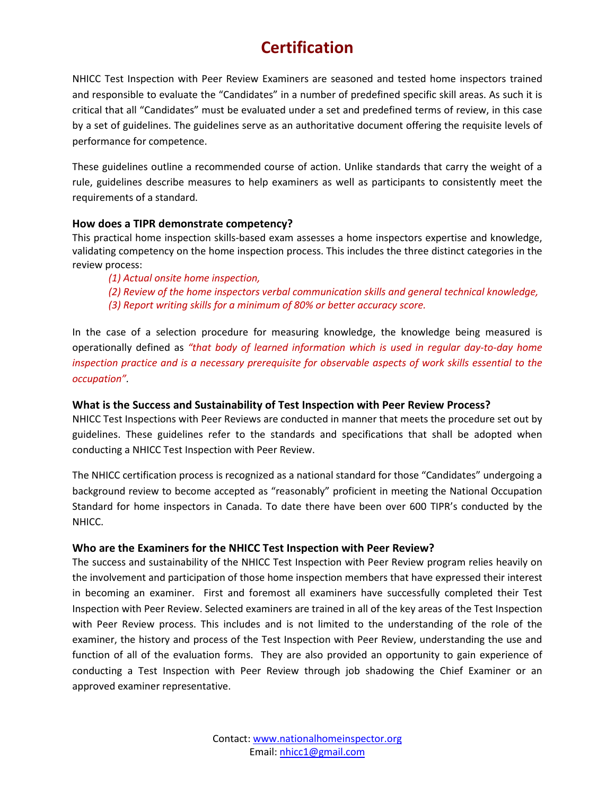NHICC Test Inspection with Peer Review Examiners are seasoned and tested home inspectors trained and responsible to evaluate the "Candidates" in a number of predefined specific skill areas. As such it is critical that all "Candidates" must be evaluated under a set and predefined terms of review, in this case by a set of guidelines. The guidelines serve as an authoritative document offering the requisite levels of performance for competence.

These guidelines outline a recommended course of action. Unlike standards that carry the weight of a rule, guidelines describe measures to help examiners as well as participants to consistently meet the requirements of a standard.

### **How does a TIPR demonstrate competency?**

This practical home inspection skills-based exam assesses a home inspectors expertise and knowledge, validating competency on the home inspection process. This includes the three distinct categories in the review process:

- *(1) Actual onsite home inspection,*
- *(2) Review of the home inspectors verbal communication skills and general technical knowledge,*
- *(3) Report writing skills for a minimum of 80% or better accuracy score.*

In the case of a selection procedure for measuring knowledge, the knowledge being measured is operationally defined as *"that body of learned information which is used in regular day-to-day home inspection practice and is a necessary prerequisite for observable aspects of work skills essential to the occupation".*

### **What is the Success and Sustainability of Test Inspection with Peer Review Process?**

NHICC Test Inspections with Peer Reviews are conducted in manner that meets the procedure set out by guidelines. These guidelines refer to the standards and specifications that shall be adopted when conducting a NHICC Test Inspection with Peer Review.

The NHICC certification process is recognized as a national standard for those "Candidates" undergoing a background review to become accepted as "reasonably" proficient in meeting the National Occupation Standard for home inspectors in Canada. To date there have been over 600 TIPR's conducted by the NHICC.

### **Who are the Examiners for the NHICC Test Inspection with Peer Review?**

The success and sustainability of the NHICC Test Inspection with Peer Review program relies heavily on the involvement and participation of those home inspection members that have expressed their interest in becoming an examiner. First and foremost all examiners have successfully completed their Test Inspection with Peer Review. Selected examiners are trained in all of the key areas of the Test Inspection with Peer Review process. This includes and is not limited to the understanding of the role of the examiner, the history and process of the Test Inspection with Peer Review, understanding the use and function of all of the evaluation forms. They are also provided an opportunity to gain experience of conducting a Test Inspection with Peer Review through job shadowing the Chief Examiner or an approved examiner representative.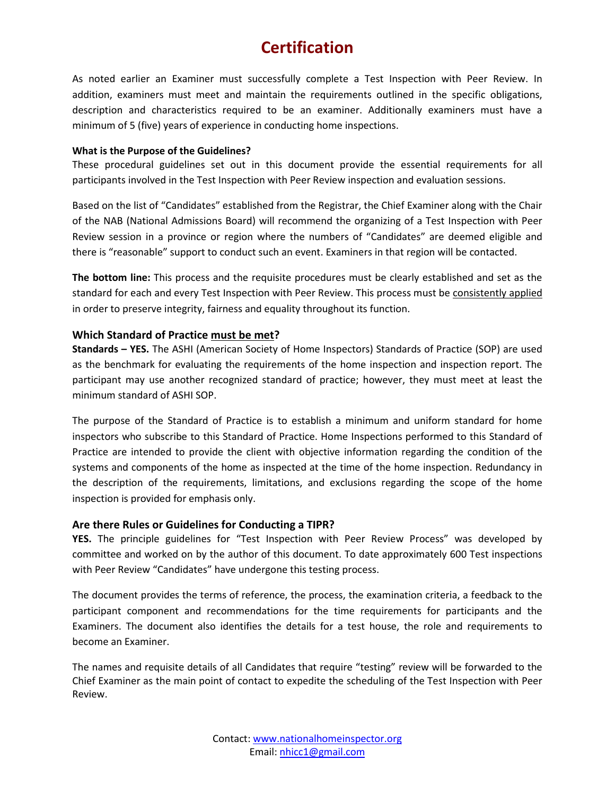As noted earlier an Examiner must successfully complete a Test Inspection with Peer Review. In addition, examiners must meet and maintain the requirements outlined in the specific obligations, description and characteristics required to be an examiner. Additionally examiners must have a minimum of 5 (five) years of experience in conducting home inspections.

#### **What is the Purpose of the Guidelines?**

These procedural guidelines set out in this document provide the essential requirements for all participants involved in the Test Inspection with Peer Review inspection and evaluation sessions.

Based on the list of "Candidates" established from the Registrar, the Chief Examiner along with the Chair of the NAB (National Admissions Board) will recommend the organizing of a Test Inspection with Peer Review session in a province or region where the numbers of "Candidates" are deemed eligible and there is "reasonable" support to conduct such an event. Examiners in that region will be contacted.

**The bottom line:** This process and the requisite procedures must be clearly established and set as the standard for each and every Test Inspection with Peer Review. This process must be consistently applied in order to preserve integrity, fairness and equality throughout its function.

### **Which Standard of Practice must be met?**

**Standards – YES.** The ASHI (American Society of Home Inspectors) Standards of Practice (SOP) are used as the benchmark for evaluating the requirements of the home inspection and inspection report. The participant may use another recognized standard of practice; however, they must meet at least the minimum standard of ASHI SOP.

The purpose of the Standard of Practice is to establish a minimum and uniform standard for home inspectors who subscribe to this Standard of Practice. Home Inspections performed to this Standard of Practice are intended to provide the client with objective information regarding the condition of the systems and components of the home as inspected at the time of the home inspection. Redundancy in the description of the requirements, limitations, and exclusions regarding the scope of the home inspection is provided for emphasis only.

### **Are there Rules or Guidelines for Conducting a TIPR?**

**YES.** The principle guidelines for "Test Inspection with Peer Review Process" was developed by committee and worked on by the author of this document. To date approximately 600 Test inspections with Peer Review "Candidates" have undergone this testing process.

The document provides the terms of reference, the process, the examination criteria, a feedback to the participant component and recommendations for the time requirements for participants and the Examiners. The document also identifies the details for a test house, the role and requirements to become an Examiner.

The names and requisite details of all Candidates that require "testing" review will be forwarded to the Chief Examiner as the main point of contact to expedite the scheduling of the Test Inspection with Peer Review.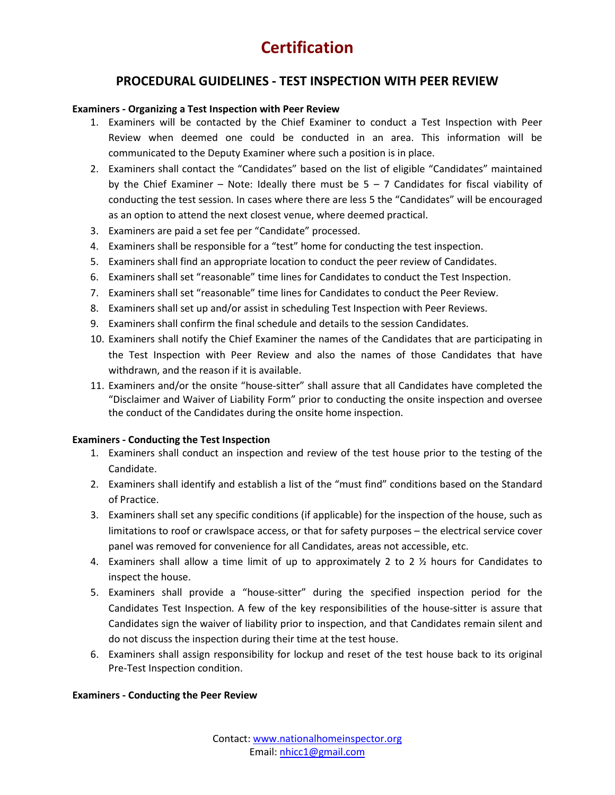### **PROCEDURAL GUIDELINES - TEST INSPECTION WITH PEER REVIEW**

### **Examiners - Organizing a Test Inspection with Peer Review**

- 1. Examiners will be contacted by the Chief Examiner to conduct a Test Inspection with Peer Review when deemed one could be conducted in an area. This information will be communicated to the Deputy Examiner where such a position is in place.
- 2. Examiners shall contact the "Candidates" based on the list of eligible "Candidates" maintained by the Chief Examiner – Note: Ideally there must be  $5 - 7$  Candidates for fiscal viability of conducting the test session. In cases where there are less 5 the "Candidates" will be encouraged as an option to attend the next closest venue, where deemed practical.
- 3. Examiners are paid a set fee per "Candidate" processed.
- 4. Examiners shall be responsible for a "test" home for conducting the test inspection.
- 5. Examiners shall find an appropriate location to conduct the peer review of Candidates.
- 6. Examiners shall set "reasonable" time lines for Candidates to conduct the Test Inspection.
- 7. Examiners shall set "reasonable" time lines for Candidates to conduct the Peer Review.
- 8. Examiners shall set up and/or assist in scheduling Test Inspection with Peer Reviews.
- 9. Examiners shall confirm the final schedule and details to the session Candidates.
- 10. Examiners shall notify the Chief Examiner the names of the Candidates that are participating in the Test Inspection with Peer Review and also the names of those Candidates that have withdrawn, and the reason if it is available.
- 11. Examiners and/or the onsite "house-sitter" shall assure that all Candidates have completed the "Disclaimer and Waiver of Liability Form" prior to conducting the onsite inspection and oversee the conduct of the Candidates during the onsite home inspection.

### **Examiners - Conducting the Test Inspection**

- 1. Examiners shall conduct an inspection and review of the test house prior to the testing of the Candidate.
- 2. Examiners shall identify and establish a list of the "must find" conditions based on the Standard of Practice.
- 3. Examiners shall set any specific conditions (if applicable) for the inspection of the house, such as limitations to roof or crawlspace access, or that for safety purposes – the electrical service cover panel was removed for convenience for all Candidates, areas not accessible, etc.
- 4. Examiners shall allow a time limit of up to approximately 2 to 2  $\frac{1}{2}$  hours for Candidates to inspect the house.
- 5. Examiners shall provide a "house-sitter" during the specified inspection period for the Candidates Test Inspection. A few of the key responsibilities of the house-sitter is assure that Candidates sign the waiver of liability prior to inspection, and that Candidates remain silent and do not discuss the inspection during their time at the test house.
- 6. Examiners shall assign responsibility for lockup and reset of the test house back to its original Pre-Test Inspection condition.

#### **Examiners - Conducting the Peer Review**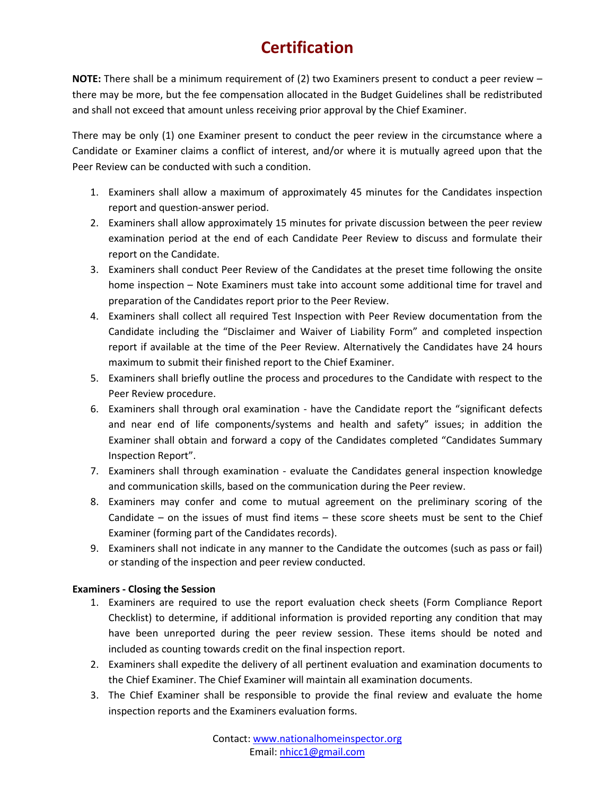**NOTE:** There shall be a minimum requirement of (2) two Examiners present to conduct a peer review – there may be more, but the fee compensation allocated in the Budget Guidelines shall be redistributed and shall not exceed that amount unless receiving prior approval by the Chief Examiner.

There may be only (1) one Examiner present to conduct the peer review in the circumstance where a Candidate or Examiner claims a conflict of interest, and/or where it is mutually agreed upon that the Peer Review can be conducted with such a condition.

- 1. Examiners shall allow a maximum of approximately 45 minutes for the Candidates inspection report and question-answer period.
- 2. Examiners shall allow approximately 15 minutes for private discussion between the peer review examination period at the end of each Candidate Peer Review to discuss and formulate their report on the Candidate.
- 3. Examiners shall conduct Peer Review of the Candidates at the preset time following the onsite home inspection – Note Examiners must take into account some additional time for travel and preparation of the Candidates report prior to the Peer Review.
- 4. Examiners shall collect all required Test Inspection with Peer Review documentation from the Candidate including the "Disclaimer and Waiver of Liability Form" and completed inspection report if available at the time of the Peer Review. Alternatively the Candidates have 24 hours maximum to submit their finished report to the Chief Examiner.
- 5. Examiners shall briefly outline the process and procedures to the Candidate with respect to the Peer Review procedure.
- 6. Examiners shall through oral examination have the Candidate report the "significant defects and near end of life components/systems and health and safety" issues; in addition the Examiner shall obtain and forward a copy of the Candidates completed "Candidates Summary Inspection Report".
- 7. Examiners shall through examination evaluate the Candidates general inspection knowledge and communication skills, based on the communication during the Peer review.
- 8. Examiners may confer and come to mutual agreement on the preliminary scoring of the Candidate – on the issues of must find items – these score sheets must be sent to the Chief Examiner (forming part of the Candidates records).
- 9. Examiners shall not indicate in any manner to the Candidate the outcomes (such as pass or fail) or standing of the inspection and peer review conducted.

### **Examiners - Closing the Session**

- 1. Examiners are required to use the report evaluation check sheets (Form Compliance Report Checklist) to determine, if additional information is provided reporting any condition that may have been unreported during the peer review session. These items should be noted and included as counting towards credit on the final inspection report.
- 2. Examiners shall expedite the delivery of all pertinent evaluation and examination documents to the Chief Examiner. The Chief Examiner will maintain all examination documents.
- 3. The Chief Examiner shall be responsible to provide the final review and evaluate the home inspection reports and the Examiners evaluation forms.